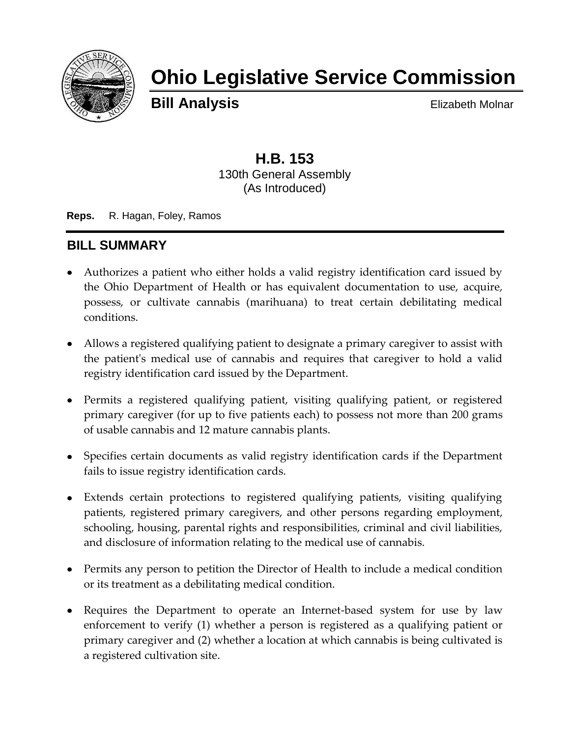

# **Ohio Legislative Service Commission**

**Bill Analysis** Elizabeth Molnar

## **H.B. 153** 130th General Assembly (As Introduced)

**Reps.** R. Hagan, Foley, Ramos

# **BILL SUMMARY**

- Authorizes a patient who either holds a valid registry identification card issued by the Ohio Department of Health or has equivalent documentation to use, acquire, possess, or cultivate cannabis (marihuana) to treat certain debilitating medical conditions.
- Allows a registered qualifying patient to designate a primary caregiver to assist with the patient's medical use of cannabis and requires that caregiver to hold a valid registry identification card issued by the Department.
- Permits a registered qualifying patient, visiting qualifying patient, or registered primary caregiver (for up to five patients each) to possess not more than 200 grams of usable cannabis and 12 mature cannabis plants.
- Specifies certain documents as valid registry identification cards if the Department fails to issue registry identification cards.
- Extends certain protections to registered qualifying patients, visiting qualifying patients, registered primary caregivers, and other persons regarding employment, schooling, housing, parental rights and responsibilities, criminal and civil liabilities, and disclosure of information relating to the medical use of cannabis.
- Permits any person to petition the Director of Health to include a medical condition or its treatment as a debilitating medical condition.
- Requires the Department to operate an Internet-based system for use by law enforcement to verify (1) whether a person is registered as a qualifying patient or primary caregiver and (2) whether a location at which cannabis is being cultivated is a registered cultivation site.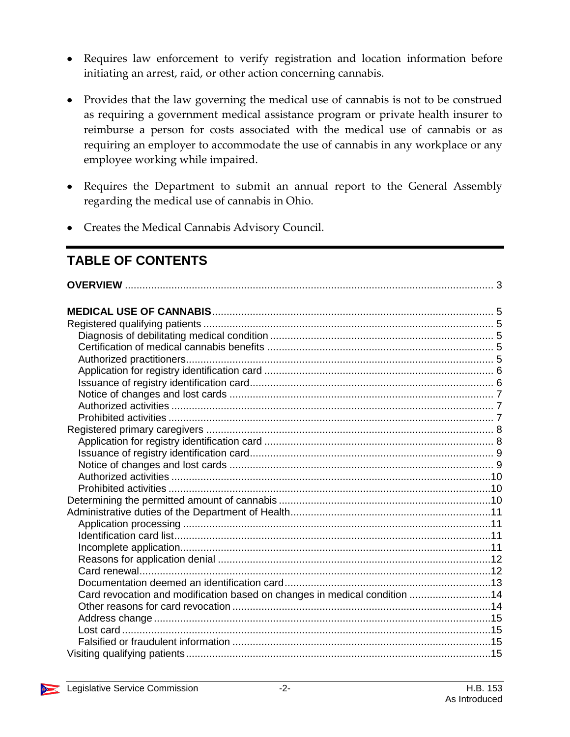- Requires law enforcement to verify registration and location information before initiating an arrest, raid, or other action concerning cannabis.
- Provides that the law governing the medical use of cannabis is not to be construed as requiring a government medical assistance program or private health insurer to reimburse a person for costs associated with the medical use of cannabis or as requiring an employer to accommodate the use of cannabis in any workplace or any employee working while impaired.
- Requires the Department to submit an annual report to the General Assembly regarding the medical use of cannabis in Ohio.
- Creates the Medical Cannabis Advisory Council.

# **TABLE OF CONTENTS**

| Card revocation and modification based on changes in medical condition 14 |  |
|---------------------------------------------------------------------------|--|
|                                                                           |  |
|                                                                           |  |
|                                                                           |  |
|                                                                           |  |
|                                                                           |  |

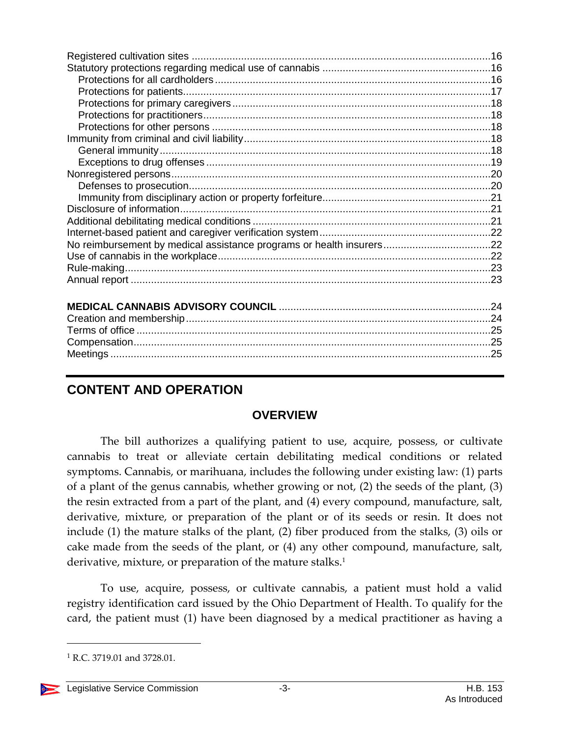# <span id="page-2-0"></span>**CONTENT AND OPERATION**

## **OVERVIEW**

The bill authorizes a qualifying patient to use, acquire, possess, or cultivate cannabis to treat or alleviate certain debilitating medical conditions or related symptoms. Cannabis, or marihuana, includes the following under existing law: (1) parts of a plant of the genus cannabis, whether growing or not, (2) the seeds of the plant, (3) the resin extracted from a part of the plant, and (4) every compound, manufacture, salt, derivative, mixture, or preparation of the plant or of its seeds or resin. It does not include (1) the mature stalks of the plant, (2) fiber produced from the stalks, (3) oils or cake made from the seeds of the plant, or (4) any other compound, manufacture, salt, derivative, mixture, or preparation of the mature stalks. 1

To use, acquire, possess, or cultivate cannabis, a patient must hold a valid registry identification card issued by the Ohio Department of Health. To qualify for the card, the patient must (1) have been diagnosed by a medical practitioner as having a

 $1$  R.C. 3719.01 and 3728.01.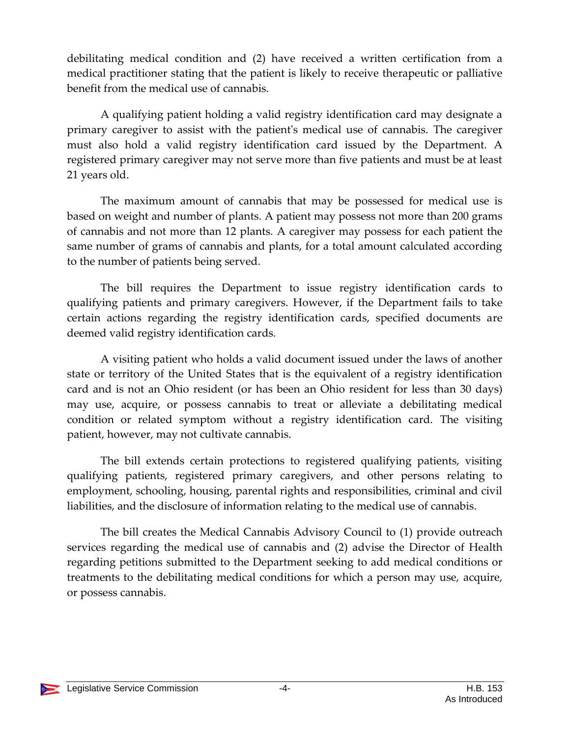debilitating medical condition and (2) have received a written certification from a medical practitioner stating that the patient is likely to receive therapeutic or palliative benefit from the medical use of cannabis.

A qualifying patient holding a valid registry identification card may designate a primary caregiver to assist with the patient's medical use of cannabis. The caregiver must also hold a valid registry identification card issued by the Department. A registered primary caregiver may not serve more than five patients and must be at least 21 years old.

The maximum amount of cannabis that may be possessed for medical use is based on weight and number of plants. A patient may possess not more than 200 grams of cannabis and not more than 12 plants. A caregiver may possess for each patient the same number of grams of cannabis and plants, for a total amount calculated according to the number of patients being served.

The bill requires the Department to issue registry identification cards to qualifying patients and primary caregivers. However, if the Department fails to take certain actions regarding the registry identification cards, specified documents are deemed valid registry identification cards.

A visiting patient who holds a valid document issued under the laws of another state or territory of the United States that is the equivalent of a registry identification card and is not an Ohio resident (or has been an Ohio resident for less than 30 days) may use, acquire, or possess cannabis to treat or alleviate a debilitating medical condition or related symptom without a registry identification card. The visiting patient, however, may not cultivate cannabis.

The bill extends certain protections to registered qualifying patients, visiting qualifying patients, registered primary caregivers, and other persons relating to employment, schooling, housing, parental rights and responsibilities, criminal and civil liabilities, and the disclosure of information relating to the medical use of cannabis.

The bill creates the Medical Cannabis Advisory Council to (1) provide outreach services regarding the medical use of cannabis and (2) advise the Director of Health regarding petitions submitted to the Department seeking to add medical conditions or treatments to the debilitating medical conditions for which a person may use, acquire, or possess cannabis.

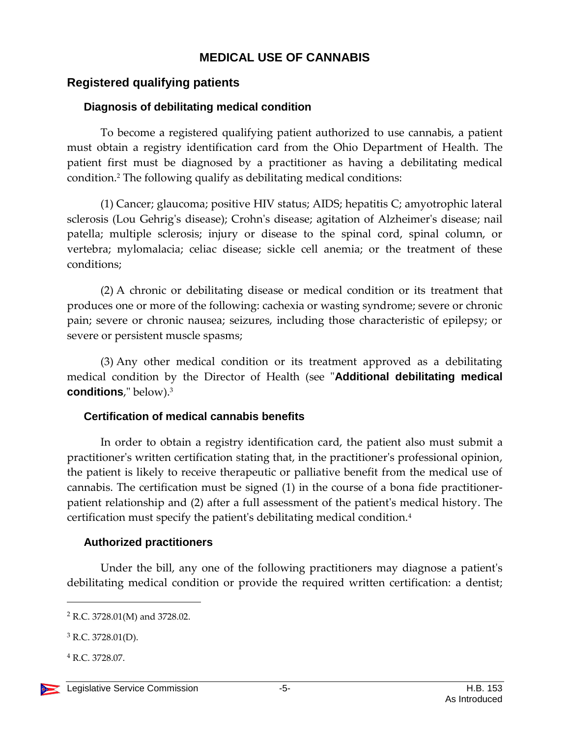## **MEDICAL USE OF CANNABIS**

## <span id="page-4-1"></span><span id="page-4-0"></span>**Registered qualifying patients**

#### <span id="page-4-2"></span>**Diagnosis of debilitating medical condition**

To become a registered qualifying patient authorized to use cannabis, a patient must obtain a registry identification card from the Ohio Department of Health. The patient first must be diagnosed by a practitioner as having a debilitating medical condition.<sup>2</sup> The following qualify as debilitating medical conditions:

(1) Cancer; glaucoma; positive HIV status; AIDS; hepatitis C; amyotrophic lateral sclerosis (Lou Gehrig's disease); Crohn's disease; agitation of Alzheimer's disease; nail patella; multiple sclerosis; injury or disease to the spinal cord, spinal column, or vertebra; mylomalacia; celiac disease; sickle cell anemia; or the treatment of these conditions;

(2) A chronic or debilitating disease or medical condition or its treatment that produces one or more of the following: cachexia or wasting syndrome; severe or chronic pain; severe or chronic nausea; seizures, including those characteristic of epilepsy; or severe or persistent muscle spasms;

(3) Any other medical condition or its treatment approved as a debilitating medical condition by the Director of Health (see "**Additional debilitating medical conditions**," below).<sup>3</sup>

#### <span id="page-4-3"></span>**Certification of medical cannabis benefits**

In order to obtain a registry identification card, the patient also must submit a practitioner's written certification stating that, in the practitioner's professional opinion, the patient is likely to receive therapeutic or palliative benefit from the medical use of cannabis. The certification must be signed (1) in the course of a bona fide practitionerpatient relationship and (2) after a full assessment of the patient's medical history. The certification must specify the patient's debilitating medical condition.<sup>4</sup>

#### <span id="page-4-4"></span>**Authorized practitioners**

Under the bill, any one of the following practitioners may diagnose a patient's debilitating medical condition or provide the required written certification: a dentist;

<sup>2</sup> R.C. 3728.01(M) and 3728.02.

 $3$  R.C. 3728.01(D).

<sup>4</sup> R.C. 3728.07.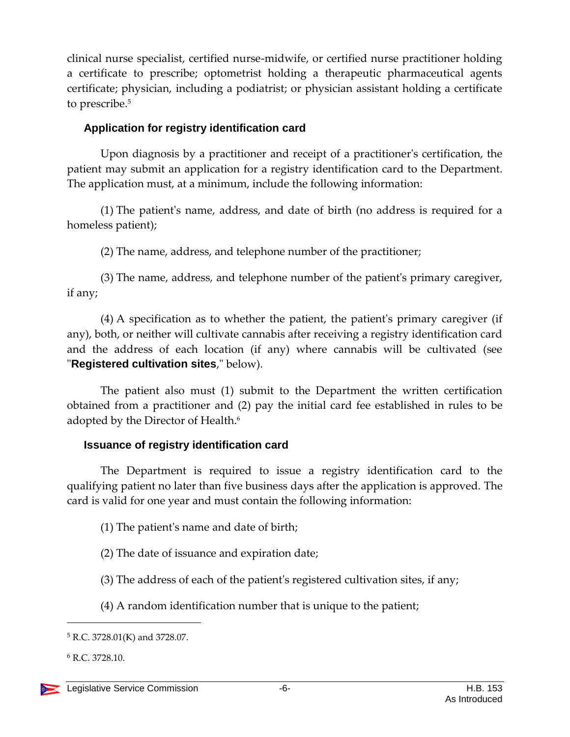clinical nurse specialist, certified nurse-midwife, or certified nurse practitioner holding a certificate to prescribe; optometrist holding a therapeutic pharmaceutical agents certificate; physician, including a podiatrist; or physician assistant holding a certificate to prescribe.<sup>5</sup>

## <span id="page-5-0"></span>**Application for registry identification card**

Upon diagnosis by a practitioner and receipt of a practitioner's certification, the patient may submit an application for a registry identification card to the Department. The application must, at a minimum, include the following information:

(1) The patient's name, address, and date of birth (no address is required for a homeless patient);

(2) The name, address, and telephone number of the practitioner;

(3) The name, address, and telephone number of the patient's primary caregiver, if any;

(4) A specification as to whether the patient, the patient's primary caregiver (if any), both, or neither will cultivate cannabis after receiving a registry identification card and the address of each location (if any) where cannabis will be cultivated (see "**Registered cultivation sites**," below).

The patient also must (1) submit to the Department the written certification obtained from a practitioner and (2) pay the initial card fee established in rules to be adopted by the Director of Health.<sup>6</sup>

## <span id="page-5-1"></span>**Issuance of registry identification card**

The Department is required to issue a registry identification card to the qualifying patient no later than five business days after the application is approved. The card is valid for one year and must contain the following information:

- (1) The patient's name and date of birth;
- (2) The date of issuance and expiration date;
- (3) The address of each of the patient's registered cultivation sites, if any;
- (4) A random identification number that is unique to the patient;

<sup>5</sup> R.C. 3728.01(K) and 3728.07.

<sup>6</sup> R.C. 3728.10.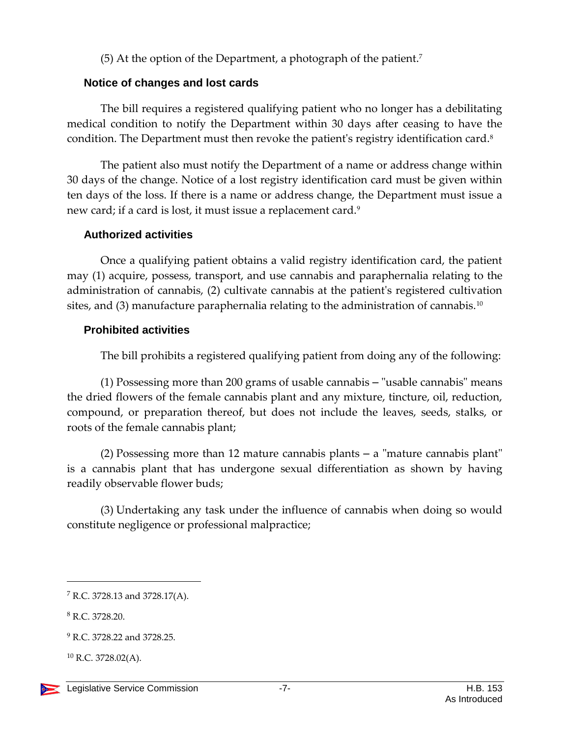(5) At the option of the Department, a photograph of the patient.<sup>7</sup>

## <span id="page-6-0"></span>**Notice of changes and lost cards**

The bill requires a registered qualifying patient who no longer has a debilitating medical condition to notify the Department within 30 days after ceasing to have the condition. The Department must then revoke the patient's registry identification card.<sup>8</sup>

The patient also must notify the Department of a name or address change within 30 days of the change. Notice of a lost registry identification card must be given within ten days of the loss. If there is a name or address change, the Department must issue a new card; if a card is lost, it must issue a replacement card.<sup>9</sup>

## <span id="page-6-1"></span>**Authorized activities**

Once a qualifying patient obtains a valid registry identification card, the patient may (1) acquire, possess, transport, and use cannabis and paraphernalia relating to the administration of cannabis, (2) cultivate cannabis at the patient's registered cultivation sites, and  $(3)$  manufacture paraphernalia relating to the administration of cannabis.<sup>10</sup>

## <span id="page-6-2"></span>**Prohibited activities**

The bill prohibits a registered qualifying patient from doing any of the following:

(1) Possessing more than 200 grams of usable cannabis – "usable cannabis" means the dried flowers of the female cannabis plant and any mixture, tincture, oil, reduction, compound, or preparation thereof, but does not include the leaves, seeds, stalks, or roots of the female cannabis plant;

(2) Possessing more than 12 mature cannabis plants – a "mature cannabis plant" is a cannabis plant that has undergone sexual differentiation as shown by having readily observable flower buds;

(3) Undertaking any task under the influence of cannabis when doing so would constitute negligence or professional malpractice;

 $\overline{a}$ 

 $^{10}$  R.C. 3728.02(A).

<sup>7</sup> R.C. 3728.13 and 3728.17(A).

<sup>8</sup> R.C. 3728.20.

<sup>&</sup>lt;sup>9</sup> R.C. 3728.22 and 3728.25.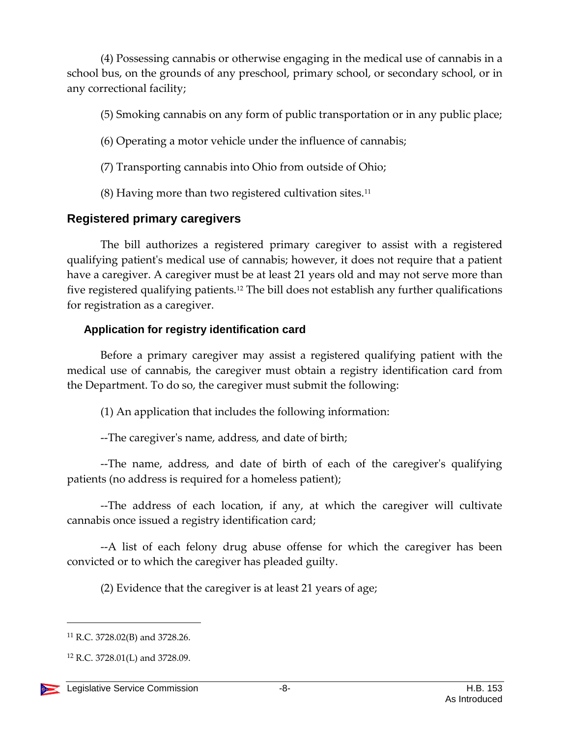(4) Possessing cannabis or otherwise engaging in the medical use of cannabis in a school bus, on the grounds of any preschool, primary school, or secondary school, or in any correctional facility;

- (5) Smoking cannabis on any form of public transportation or in any public place;
- (6) Operating a motor vehicle under the influence of cannabis;
- (7) Transporting cannabis into Ohio from outside of Ohio;
- $(8)$  Having more than two registered cultivation sites.<sup>11</sup>

# <span id="page-7-0"></span>**Registered primary caregivers**

The bill authorizes a registered primary caregiver to assist with a registered qualifying patient's medical use of cannabis; however, it does not require that a patient have a caregiver. A caregiver must be at least 21 years old and may not serve more than five registered qualifying patients.<sup>12</sup> The bill does not establish any further qualifications for registration as a caregiver.

# <span id="page-7-1"></span>**Application for registry identification card**

Before a primary caregiver may assist a registered qualifying patient with the medical use of cannabis, the caregiver must obtain a registry identification card from the Department. To do so, the caregiver must submit the following:

(1) An application that includes the following information:

--The caregiver's name, address, and date of birth;

--The name, address, and date of birth of each of the caregiver's qualifying patients (no address is required for a homeless patient);

--The address of each location, if any, at which the caregiver will cultivate cannabis once issued a registry identification card;

--A list of each felony drug abuse offense for which the caregiver has been convicted or to which the caregiver has pleaded guilty.

(2) Evidence that the caregiver is at least 21 years of age;

<sup>11</sup> R.C. 3728.02(B) and 3728.26.

<sup>12</sup> R.C. 3728.01(L) and 3728.09.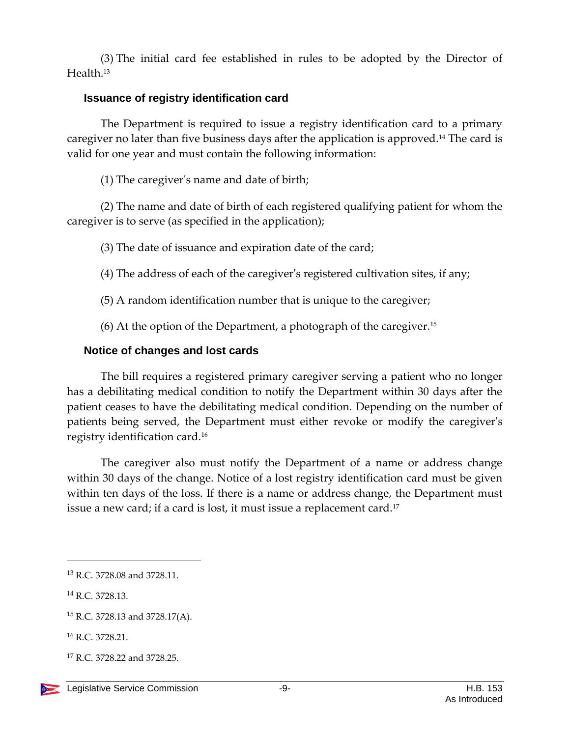(3) The initial card fee established in rules to be adopted by the Director of Health.<sup>13</sup>

#### <span id="page-8-0"></span>**Issuance of registry identification card**

The Department is required to issue a registry identification card to a primary caregiver no later than five business days after the application is approved.<sup>14</sup> The card is valid for one year and must contain the following information:

(1) The caregiver's name and date of birth;

(2) The name and date of birth of each registered qualifying patient for whom the caregiver is to serve (as specified in the application);

(3) The date of issuance and expiration date of the card;

(4) The address of each of the caregiver's registered cultivation sites, if any;

(5) A random identification number that is unique to the caregiver;

 $(6)$  At the option of the Department, a photograph of the caregiver.<sup>15</sup>

## <span id="page-8-1"></span>**Notice of changes and lost cards**

The bill requires a registered primary caregiver serving a patient who no longer has a debilitating medical condition to notify the Department within 30 days after the patient ceases to have the debilitating medical condition. Depending on the number of patients being served, the Department must either revoke or modify the caregiver's registry identification card.<sup>16</sup>

The caregiver also must notify the Department of a name or address change within 30 days of the change. Notice of a lost registry identification card must be given within ten days of the loss. If there is a name or address change, the Department must issue a new card; if a card is lost, it must issue a replacement card.<sup>17</sup>

<sup>13</sup> R.C. 3728.08 and 3728.11.

<sup>14</sup> R.C. 3728.13.

<sup>15</sup> R.C. 3728.13 and 3728.17(A).

<sup>16</sup> R.C. 3728.21.

<sup>&</sup>lt;sup>17</sup> R.C. 3728.22 and 3728.25.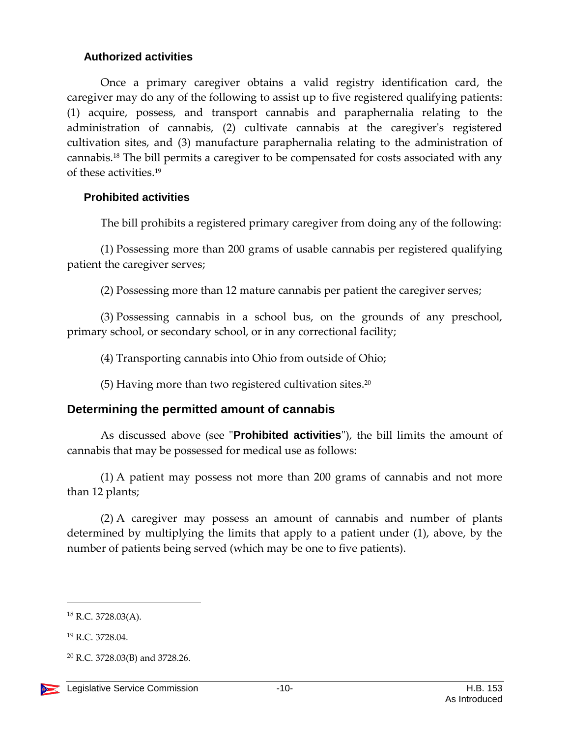#### <span id="page-9-0"></span>**Authorized activities**

Once a primary caregiver obtains a valid registry identification card, the caregiver may do any of the following to assist up to five registered qualifying patients: (1) acquire, possess, and transport cannabis and paraphernalia relating to the administration of cannabis, (2) cultivate cannabis at the caregiver's registered cultivation sites, and (3) manufacture paraphernalia relating to the administration of cannabis.<sup>18</sup> The bill permits a caregiver to be compensated for costs associated with any of these activities.<sup>19</sup>

## <span id="page-9-1"></span>**Prohibited activities**

The bill prohibits a registered primary caregiver from doing any of the following:

(1) Possessing more than 200 grams of usable cannabis per registered qualifying patient the caregiver serves;

(2) Possessing more than 12 mature cannabis per patient the caregiver serves;

(3) Possessing cannabis in a school bus, on the grounds of any preschool, primary school, or secondary school, or in any correctional facility;

(4) Transporting cannabis into Ohio from outside of Ohio;

(5) Having more than two registered cultivation sites. 20

# <span id="page-9-2"></span>**Determining the permitted amount of cannabis**

As discussed above (see "**Prohibited activities**"), the bill limits the amount of cannabis that may be possessed for medical use as follows:

(1) A patient may possess not more than 200 grams of cannabis and not more than 12 plants;

(2) A caregiver may possess an amount of cannabis and number of plants determined by multiplying the limits that apply to a patient under (1), above, by the number of patients being served (which may be one to five patients).

 $18$  R.C. 3728.03(A).

<sup>19</sup> R.C. 3728.04.

<sup>20</sup> R.C. 3728.03(B) and 3728.26.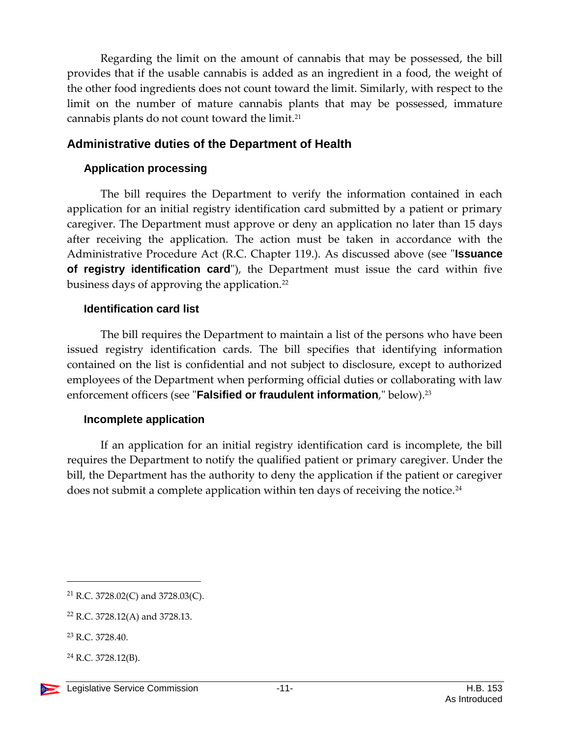Regarding the limit on the amount of cannabis that may be possessed, the bill provides that if the usable cannabis is added as an ingredient in a food, the weight of the other food ingredients does not count toward the limit. Similarly, with respect to the limit on the number of mature cannabis plants that may be possessed, immature cannabis plants do not count toward the limit.<sup>21</sup>

## <span id="page-10-0"></span>**Administrative duties of the Department of Health**

## <span id="page-10-1"></span>**Application processing**

The bill requires the Department to verify the information contained in each application for an initial registry identification card submitted by a patient or primary caregiver. The Department must approve or deny an application no later than 15 days after receiving the application. The action must be taken in accordance with the Administrative Procedure Act (R.C. Chapter 119.). As discussed above (see "**Issuance of registry identification card**"), the Department must issue the card within five business days of approving the application.<sup>22</sup>

## <span id="page-10-2"></span>**Identification card list**

The bill requires the Department to maintain a list of the persons who have been issued registry identification cards. The bill specifies that identifying information contained on the list is confidential and not subject to disclosure, except to authorized employees of the Department when performing official duties or collaborating with law enforcement officers (see "**Falsified or fraudulent information**," below).<sup>23</sup>

## <span id="page-10-3"></span>**Incomplete application**

If an application for an initial registry identification card is incomplete, the bill requires the Department to notify the qualified patient or primary caregiver. Under the bill, the Department has the authority to deny the application if the patient or caregiver does not submit a complete application within ten days of receiving the notice.<sup>24</sup>

<sup>21</sup> R.C. 3728.02(C) and 3728.03(C).

<sup>22</sup> R.C. 3728.12(A) and 3728.13.

<sup>23</sup> R.C. 3728.40.

 $^{24}$  R.C. 3728.12(B).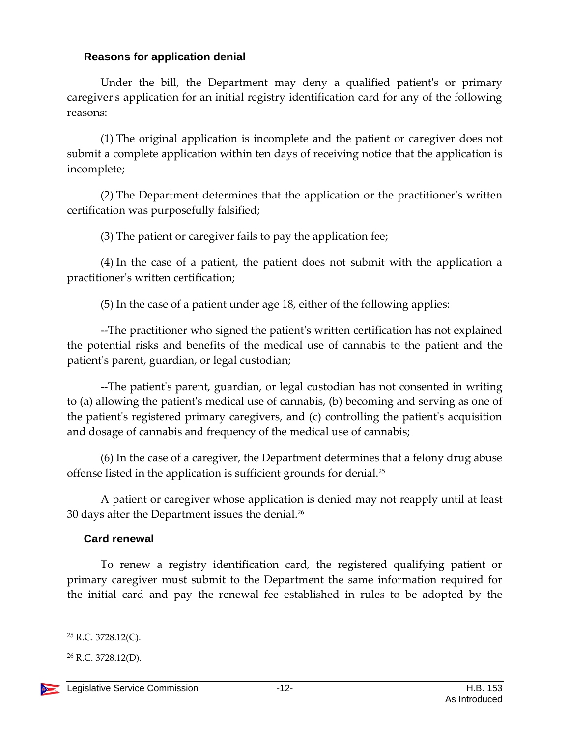#### <span id="page-11-0"></span>**Reasons for application denial**

Under the bill, the Department may deny a qualified patient's or primary caregiver's application for an initial registry identification card for any of the following reasons:

(1) The original application is incomplete and the patient or caregiver does not submit a complete application within ten days of receiving notice that the application is incomplete;

(2) The Department determines that the application or the practitioner's written certification was purposefully falsified;

(3) The patient or caregiver fails to pay the application fee;

(4) In the case of a patient, the patient does not submit with the application a practitioner's written certification;

(5) In the case of a patient under age 18, either of the following applies:

--The practitioner who signed the patient's written certification has not explained the potential risks and benefits of the medical use of cannabis to the patient and the patient's parent, guardian, or legal custodian;

--The patient's parent, guardian, or legal custodian has not consented in writing to (a) allowing the patient's medical use of cannabis, (b) becoming and serving as one of the patient's registered primary caregivers, and (c) controlling the patient's acquisition and dosage of cannabis and frequency of the medical use of cannabis;

(6) In the case of a caregiver, the Department determines that a felony drug abuse offense listed in the application is sufficient grounds for denial. 25

A patient or caregiver whose application is denied may not reapply until at least 30 days after the Department issues the denial. $^{\scriptscriptstyle 26}$ 

## <span id="page-11-1"></span>**Card renewal**

To renew a registry identification card, the registered qualifying patient or primary caregiver must submit to the Department the same information required for the initial card and pay the renewal fee established in rules to be adopted by the

 $25$  R.C. 3728.12(C).

 $26$  R.C. 3728.12(D).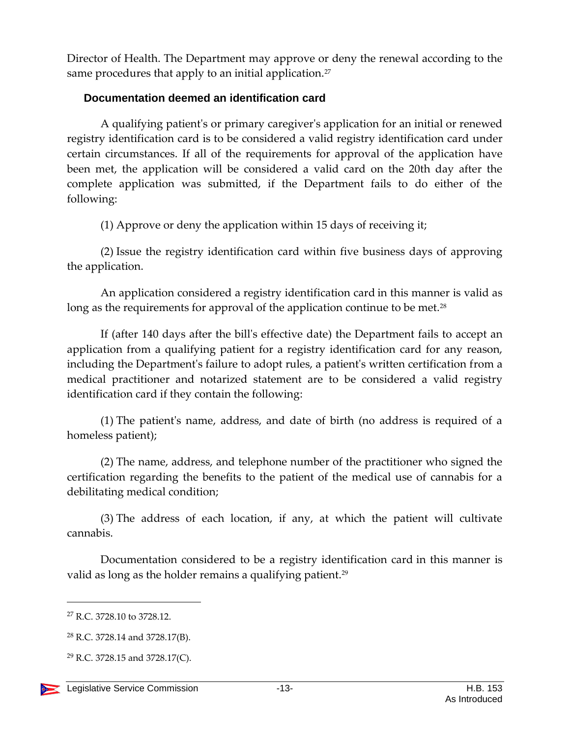Director of Health. The Department may approve or deny the renewal according to the same procedures that apply to an initial application.<sup>27</sup>

## <span id="page-12-0"></span>**Documentation deemed an identification card**

A qualifying patient's or primary caregiver's application for an initial or renewed registry identification card is to be considered a valid registry identification card under certain circumstances. If all of the requirements for approval of the application have been met, the application will be considered a valid card on the 20th day after the complete application was submitted, if the Department fails to do either of the following:

(1) Approve or deny the application within 15 days of receiving it;

(2) Issue the registry identification card within five business days of approving the application.

An application considered a registry identification card in this manner is valid as long as the requirements for approval of the application continue to be met.<sup>28</sup>

If (after 140 days after the bill's effective date) the Department fails to accept an application from a qualifying patient for a registry identification card for any reason, including the Department's failure to adopt rules, a patient's written certification from a medical practitioner and notarized statement are to be considered a valid registry identification card if they contain the following:

(1) The patient's name, address, and date of birth (no address is required of a homeless patient);

(2) The name, address, and telephone number of the practitioner who signed the certification regarding the benefits to the patient of the medical use of cannabis for a debilitating medical condition;

(3) The address of each location, if any, at which the patient will cultivate cannabis.

Documentation considered to be a registry identification card in this manner is valid as long as the holder remains a qualifying patient.<sup>29</sup>

<sup>&</sup>lt;sup>27</sup> R.C. 3728.10 to 3728.12.

<sup>28</sup> R.C. 3728.14 and 3728.17(B).

 $29$  R.C. 3728.15 and 3728.17(C).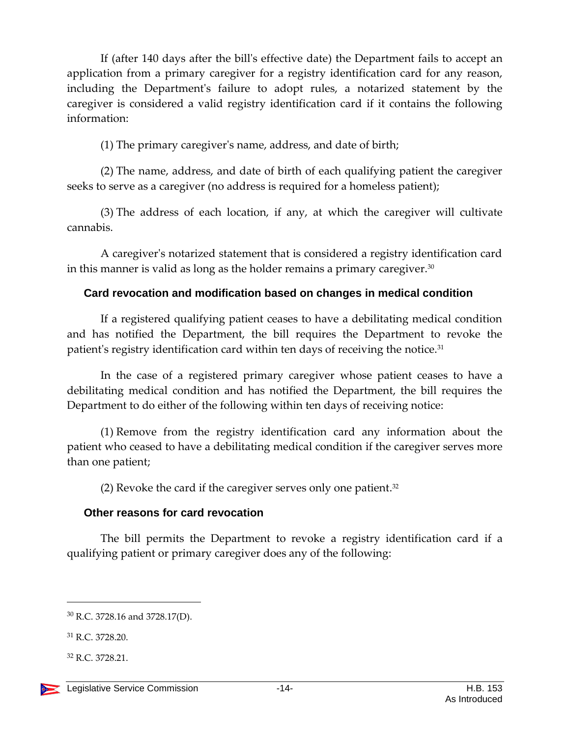If (after 140 days after the bill's effective date) the Department fails to accept an application from a primary caregiver for a registry identification card for any reason, including the Department's failure to adopt rules, a notarized statement by the caregiver is considered a valid registry identification card if it contains the following information:

(1) The primary caregiver's name, address, and date of birth;

(2) The name, address, and date of birth of each qualifying patient the caregiver seeks to serve as a caregiver (no address is required for a homeless patient);

(3) The address of each location, if any, at which the caregiver will cultivate cannabis.

A caregiver's notarized statement that is considered a registry identification card in this manner is valid as long as the holder remains a primary caregiver. $30$ 

## <span id="page-13-0"></span>**Card revocation and modification based on changes in medical condition**

If a registered qualifying patient ceases to have a debilitating medical condition and has notified the Department, the bill requires the Department to revoke the patient's registry identification card within ten days of receiving the notice.<sup>31</sup>

In the case of a registered primary caregiver whose patient ceases to have a debilitating medical condition and has notified the Department, the bill requires the Department to do either of the following within ten days of receiving notice:

(1) Remove from the registry identification card any information about the patient who ceased to have a debilitating medical condition if the caregiver serves more than one patient;

(2) Revoke the card if the caregiver serves only one patient. 32

## <span id="page-13-1"></span>**Other reasons for card revocation**

The bill permits the Department to revoke a registry identification card if a qualifying patient or primary caregiver does any of the following:

<sup>30</sup> R.C. 3728.16 and 3728.17(D).

<sup>31</sup> R.C. 3728.20.

<sup>32</sup> R.C. 3728.21.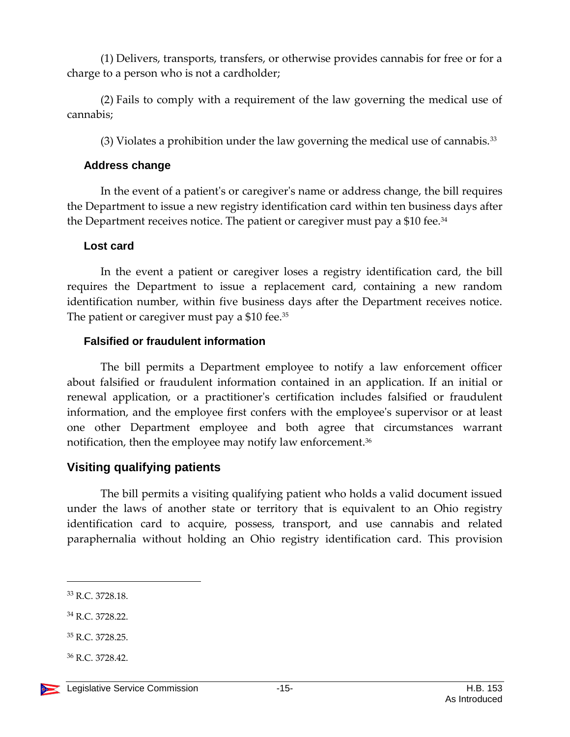(1) Delivers, transports, transfers, or otherwise provides cannabis for free or for a charge to a person who is not a cardholder;

(2) Fails to comply with a requirement of the law governing the medical use of cannabis;

(3) Violates a prohibition under the law governing the medical use of cannabis. $33$ 

## <span id="page-14-0"></span>**Address change**

In the event of a patient's or caregiver's name or address change, the bill requires the Department to issue a new registry identification card within ten business days after the Department receives notice. The patient or caregiver must pay a \$10 fee.<sup>34</sup>

## <span id="page-14-1"></span>**Lost card**

In the event a patient or caregiver loses a registry identification card, the bill requires the Department to issue a replacement card, containing a new random identification number, within five business days after the Department receives notice. The patient or caregiver must pay a \$10 fee.<sup>35</sup>

## <span id="page-14-2"></span>**Falsified or fraudulent information**

The bill permits a Department employee to notify a law enforcement officer about falsified or fraudulent information contained in an application. If an initial or renewal application, or a practitioner's certification includes falsified or fraudulent information, and the employee first confers with the employee's supervisor or at least one other Department employee and both agree that circumstances warrant notification, then the employee may notify law enforcement. 36

# <span id="page-14-3"></span>**Visiting qualifying patients**

The bill permits a visiting qualifying patient who holds a valid document issued under the laws of another state or territory that is equivalent to an Ohio registry identification card to acquire, possess, transport, and use cannabis and related paraphernalia without holding an Ohio registry identification card. This provision

- <sup>34</sup> R.C. 3728.22.
- <sup>35</sup> R.C. 3728.25.
- <sup>36</sup> R.C. 3728.42.



<sup>33</sup> R.C. 3728.18.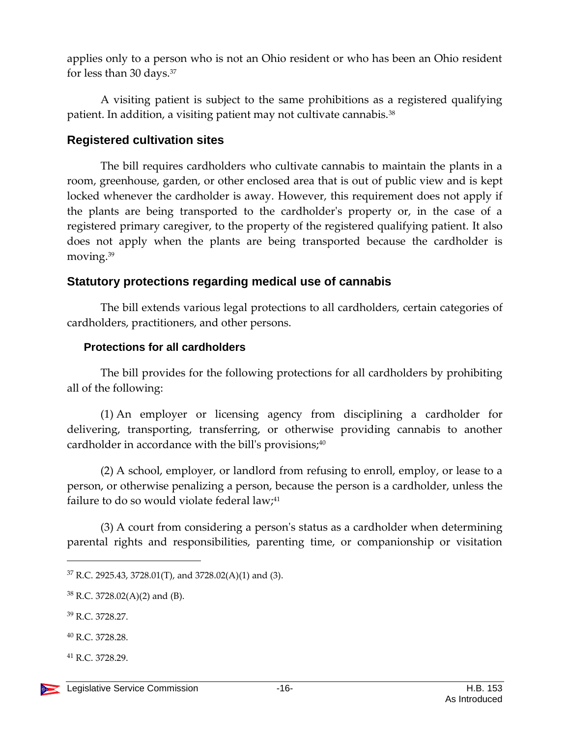applies only to a person who is not an Ohio resident or who has been an Ohio resident for less than 30 days.<sup>37</sup>

A visiting patient is subject to the same prohibitions as a registered qualifying patient. In addition, a visiting patient may not cultivate cannabis.<sup>38</sup>

## <span id="page-15-0"></span>**Registered cultivation sites**

The bill requires cardholders who cultivate cannabis to maintain the plants in a room, greenhouse, garden, or other enclosed area that is out of public view and is kept locked whenever the cardholder is away. However, this requirement does not apply if the plants are being transported to the cardholder's property or, in the case of a registered primary caregiver, to the property of the registered qualifying patient. It also does not apply when the plants are being transported because the cardholder is moving.<sup>39</sup>

## <span id="page-15-1"></span>**Statutory protections regarding medical use of cannabis**

The bill extends various legal protections to all cardholders, certain categories of cardholders, practitioners, and other persons.

## <span id="page-15-2"></span>**Protections for all cardholders**

The bill provides for the following protections for all cardholders by prohibiting all of the following:

(1) An employer or licensing agency from disciplining a cardholder for delivering, transporting, transferring, or otherwise providing cannabis to another cardholder in accordance with the bill's provisions; $40$ 

(2) A school, employer, or landlord from refusing to enroll, employ, or lease to a person, or otherwise penalizing a person, because the person is a cardholder, unless the failure to do so would violate federal law; $41$ 

(3) A court from considering a person's status as a cardholder when determining parental rights and responsibilities, parenting time, or companionship or visitation

 $\overline{a}$ 

<sup>41</sup> R.C. 3728.29.

<sup>37</sup> R.C. 2925.43, 3728.01(T), and 3728.02(A)(1) and (3).

<sup>38</sup> R.C. 3728.02(A)(2) and (B).

<sup>39</sup> R.C. 3728.27.

<sup>40</sup> R.C. 3728.28.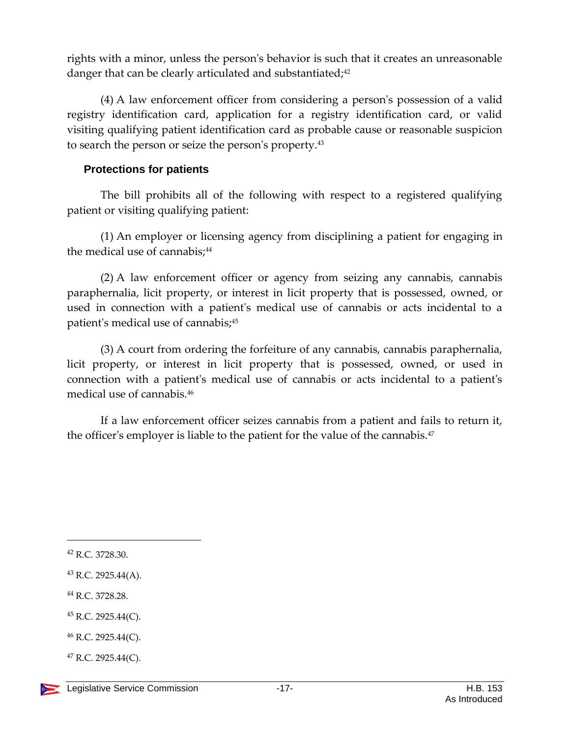rights with a minor, unless the person's behavior is such that it creates an unreasonable danger that can be clearly articulated and substantiated;<sup>42</sup>

(4) A law enforcement officer from considering a person's possession of a valid registry identification card, application for a registry identification card, or valid visiting qualifying patient identification card as probable cause or reasonable suspicion to search the person or seize the person's property.<sup>43</sup>

#### <span id="page-16-0"></span>**Protections for patients**

The bill prohibits all of the following with respect to a registered qualifying patient or visiting qualifying patient:

(1) An employer or licensing agency from disciplining a patient for engaging in the medical use of cannabis;<sup>44</sup>

(2) A law enforcement officer or agency from seizing any cannabis, cannabis paraphernalia, licit property, or interest in licit property that is possessed, owned, or used in connection with a patient's medical use of cannabis or acts incidental to a patient's medical use of cannabis;<sup>45</sup>

(3) A court from ordering the forfeiture of any cannabis, cannabis paraphernalia, licit property, or interest in licit property that is possessed, owned, or used in connection with a patient's medical use of cannabis or acts incidental to a patient's medical use of cannabis.<sup>46</sup>

If a law enforcement officer seizes cannabis from a patient and fails to return it, the officer's employer is liable to the patient for the value of the cannabis.<sup>47</sup>

l

 $45$  R.C. 2925.44(C).

 $47$  R.C. 2925.44(C).

<sup>42</sup> R.C. 3728.30.

<sup>43</sup> R.C. 2925.44(A).

<sup>44</sup> R.C. 3728.28.

<sup>46</sup> R.C. 2925.44(C).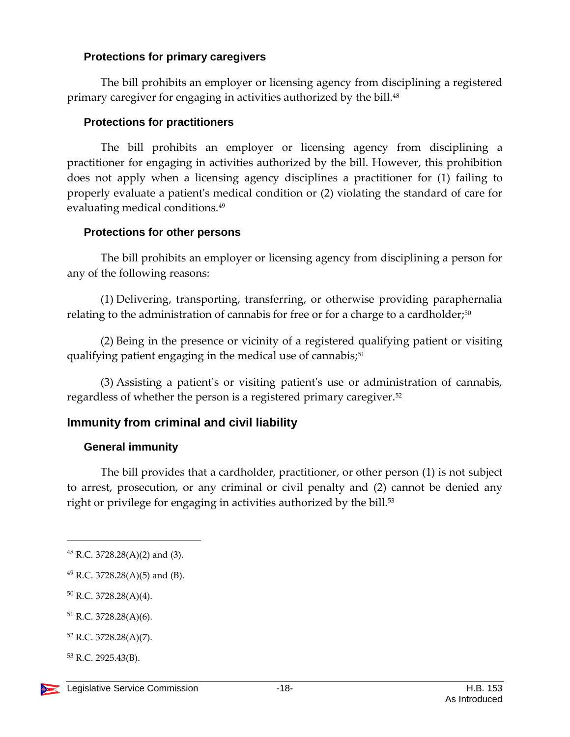## <span id="page-17-0"></span>**Protections for primary caregivers**

The bill prohibits an employer or licensing agency from disciplining a registered primary caregiver for engaging in activities authorized by the bill.<sup>48</sup>

## <span id="page-17-1"></span>**Protections for practitioners**

The bill prohibits an employer or licensing agency from disciplining a practitioner for engaging in activities authorized by the bill. However, this prohibition does not apply when a licensing agency disciplines a practitioner for (1) failing to properly evaluate a patient's medical condition or (2) violating the standard of care for evaluating medical conditions.<sup>49</sup>

## <span id="page-17-2"></span>**Protections for other persons**

The bill prohibits an employer or licensing agency from disciplining a person for any of the following reasons:

(1) Delivering, transporting, transferring, or otherwise providing paraphernalia relating to the administration of cannabis for free or for a charge to a cardholder; $50$ 

(2) Being in the presence or vicinity of a registered qualifying patient or visiting qualifying patient engaging in the medical use of cannabis;<sup>51</sup>

(3) Assisting a patient's or visiting patient's use or administration of cannabis, regardless of whether the person is a registered primary caregiver.<sup>52</sup>

## <span id="page-17-3"></span>**Immunity from criminal and civil liability**

## <span id="page-17-4"></span>**General immunity**

The bill provides that a cardholder, practitioner, or other person (1) is not subject to arrest, prosecution, or any criminal or civil penalty and (2) cannot be denied any right or privilege for engaging in activities authorized by the bill.<sup>53</sup>

<sup>50</sup> R.C. 3728.28(A)(4).

- <sup>51</sup> R.C. 3728.28(A)(6).
- <sup>52</sup> R.C. 3728.28(A)(7).
- <sup>53</sup> R.C. 2925.43(B).



<sup>48</sup> R.C. 3728.28(A)(2) and (3).

 $^{49}$  R.C. 3728.28(A)(5) and (B).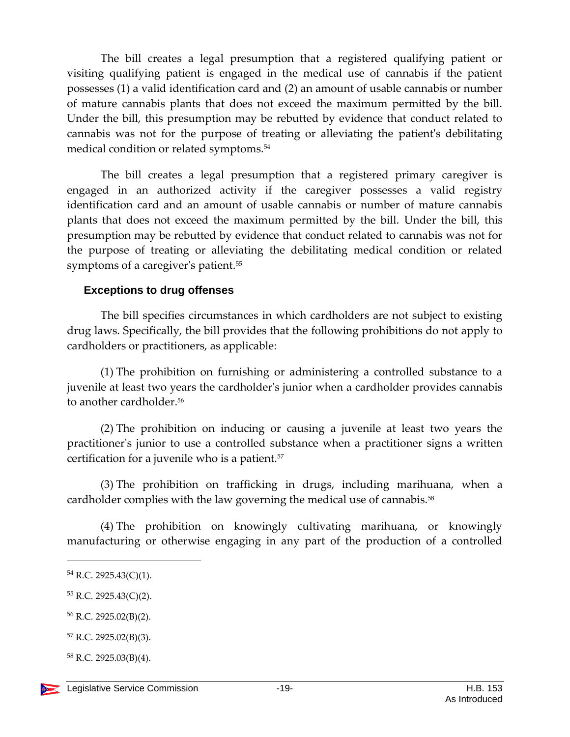The bill creates a legal presumption that a registered qualifying patient or visiting qualifying patient is engaged in the medical use of cannabis if the patient possesses (1) a valid identification card and (2) an amount of usable cannabis or number of mature cannabis plants that does not exceed the maximum permitted by the bill. Under the bill, this presumption may be rebutted by evidence that conduct related to cannabis was not for the purpose of treating or alleviating the patient's debilitating medical condition or related symptoms.<sup>54</sup>

The bill creates a legal presumption that a registered primary caregiver is engaged in an authorized activity if the caregiver possesses a valid registry identification card and an amount of usable cannabis or number of mature cannabis plants that does not exceed the maximum permitted by the bill. Under the bill, this presumption may be rebutted by evidence that conduct related to cannabis was not for the purpose of treating or alleviating the debilitating medical condition or related symptoms of a caregiver's patient.<sup>55</sup>

#### <span id="page-18-0"></span>**Exceptions to drug offenses**

The bill specifies circumstances in which cardholders are not subject to existing drug laws. Specifically, the bill provides that the following prohibitions do not apply to cardholders or practitioners, as applicable:

(1) The prohibition on furnishing or administering a controlled substance to a juvenile at least two years the cardholder's junior when a cardholder provides cannabis to another cardholder.<sup>56</sup>

(2) The prohibition on inducing or causing a juvenile at least two years the practitioner's junior to use a controlled substance when a practitioner signs a written certification for a juvenile who is a patient.<sup>57</sup>

(3) The prohibition on trafficking in drugs, including marihuana, when a cardholder complies with the law governing the medical use of cannabis.<sup>58</sup>

(4) The prohibition on knowingly cultivating marihuana, or knowingly manufacturing or otherwise engaging in any part of the production of a controlled

<sup>54</sup> R.C. 2925.43(C)(1).

<sup>55</sup> R.C. 2925.43(C)(2).

<sup>56</sup> R.C. 2925.02(B)(2).

<sup>57</sup> R.C. 2925.02(B)(3).

<sup>58</sup> R.C. 2925.03(B)(4).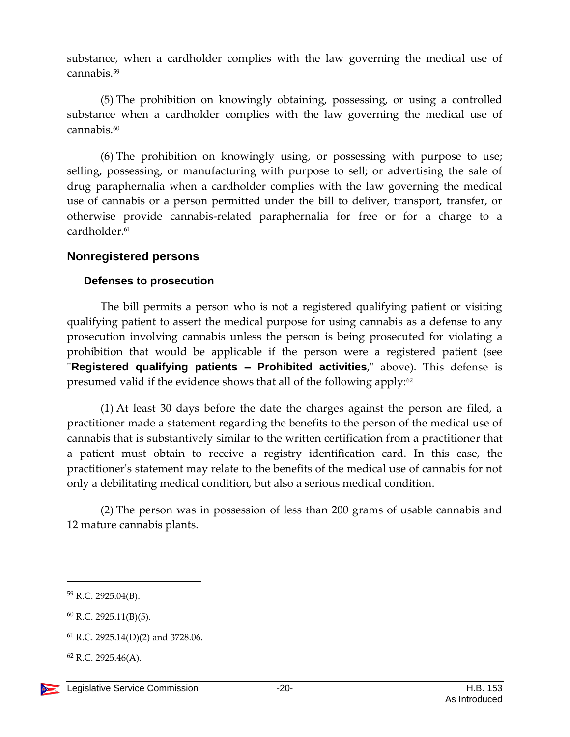substance, when a cardholder complies with the law governing the medical use of cannabis.<sup>59</sup>

(5) The prohibition on knowingly obtaining, possessing, or using a controlled substance when a cardholder complies with the law governing the medical use of cannabis.<sup>60</sup>

(6) The prohibition on knowingly using, or possessing with purpose to use; selling, possessing, or manufacturing with purpose to sell; or advertising the sale of drug paraphernalia when a cardholder complies with the law governing the medical use of cannabis or a person permitted under the bill to deliver, transport, transfer, or otherwise provide cannabis-related paraphernalia for free or for a charge to a cardholder.<sup>61</sup>

## <span id="page-19-0"></span>**Nonregistered persons**

#### <span id="page-19-1"></span>**Defenses to prosecution**

The bill permits a person who is not a registered qualifying patient or visiting qualifying patient to assert the medical purpose for using cannabis as a defense to any prosecution involving cannabis unless the person is being prosecuted for violating a prohibition that would be applicable if the person were a registered patient (see "**Registered qualifying patients – Prohibited activities**," above). This defense is presumed valid if the evidence shows that all of the following apply: $62$ 

(1) At least 30 days before the date the charges against the person are filed, a practitioner made a statement regarding the benefits to the person of the medical use of cannabis that is substantively similar to the written certification from a practitioner that a patient must obtain to receive a registry identification card. In this case, the practitioner's statement may relate to the benefits of the medical use of cannabis for not only a debilitating medical condition, but also a serious medical condition.

(2) The person was in possession of less than 200 grams of usable cannabis and 12 mature cannabis plants.

<sup>59</sup> R.C. 2925.04(B).

 $60$  R.C. 2925.11(B)(5).

<sup>61</sup> R.C. 2925.14(D)(2) and 3728.06.

 $62$  R.C. 2925.46(A).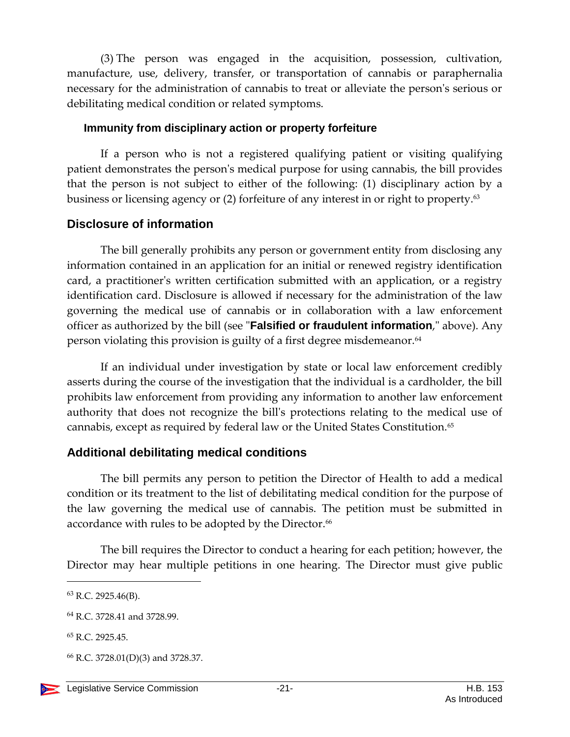(3) The person was engaged in the acquisition, possession, cultivation, manufacture, use, delivery, transfer, or transportation of cannabis or paraphernalia necessary for the administration of cannabis to treat or alleviate the person's serious or debilitating medical condition or related symptoms.

#### <span id="page-20-0"></span>**Immunity from disciplinary action or property forfeiture**

If a person who is not a registered qualifying patient or visiting qualifying patient demonstrates the person's medical purpose for using cannabis, the bill provides that the person is not subject to either of the following: (1) disciplinary action by a business or licensing agency or (2) forfeiture of any interest in or right to property.<sup>63</sup>

## <span id="page-20-1"></span>**Disclosure of information**

The bill generally prohibits any person or government entity from disclosing any information contained in an application for an initial or renewed registry identification card, a practitioner's written certification submitted with an application, or a registry identification card. Disclosure is allowed if necessary for the administration of the law governing the medical use of cannabis or in collaboration with a law enforcement officer as authorized by the bill (see "**Falsified or fraudulent information**," above). Any person violating this provision is guilty of a first degree misdemeanor.<sup>64</sup>

If an individual under investigation by state or local law enforcement credibly asserts during the course of the investigation that the individual is a cardholder, the bill prohibits law enforcement from providing any information to another law enforcement authority that does not recognize the bill's protections relating to the medical use of cannabis, except as required by federal law or the United States Constitution.<sup>65</sup>

# <span id="page-20-2"></span>**Additional debilitating medical conditions**

The bill permits any person to petition the Director of Health to add a medical condition or its treatment to the list of debilitating medical condition for the purpose of the law governing the medical use of cannabis. The petition must be submitted in accordance with rules to be adopted by the Director.<sup>66</sup>

The bill requires the Director to conduct a hearing for each petition; however, the Director may hear multiple petitions in one hearing. The Director must give public

<sup>63</sup> R.C. 2925.46(B).

<sup>64</sup> R.C. 3728.41 and 3728.99.

<sup>65</sup> R.C. 2925.45.

<sup>66</sup> R.C. 3728.01(D)(3) and 3728.37.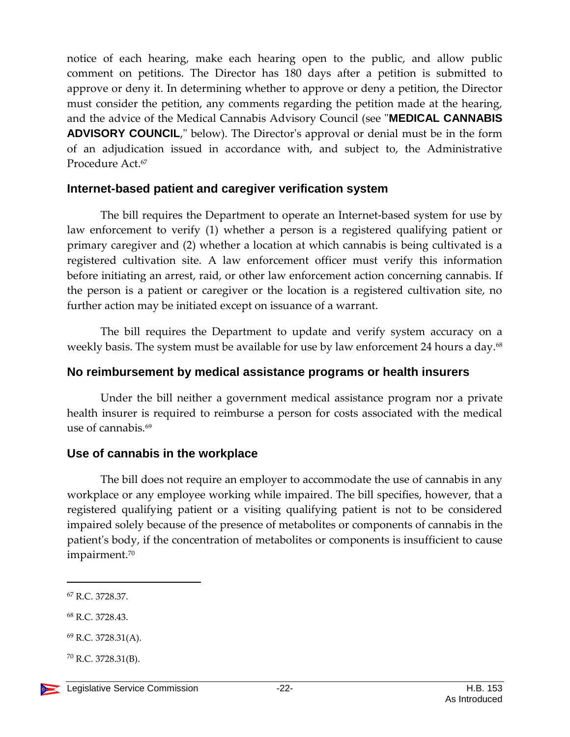notice of each hearing, make each hearing open to the public, and allow public comment on petitions. The Director has 180 days after a petition is submitted to approve or deny it. In determining whether to approve or deny a petition, the Director must consider the petition, any comments regarding the petition made at the hearing, and the advice of the Medical Cannabis Advisory Council (see "**MEDICAL CANNABIS ADVISORY COUNCIL**," below). The Director's approval or denial must be in the form of an adjudication issued in accordance with, and subject to, the Administrative Procedure Act.<sup>67</sup>

#### <span id="page-21-0"></span>**Internet-based patient and caregiver verification system**

The bill requires the Department to operate an Internet-based system for use by law enforcement to verify (1) whether a person is a registered qualifying patient or primary caregiver and (2) whether a location at which cannabis is being cultivated is a registered cultivation site. A law enforcement officer must verify this information before initiating an arrest, raid, or other law enforcement action concerning cannabis. If the person is a patient or caregiver or the location is a registered cultivation site, no further action may be initiated except on issuance of a warrant.

The bill requires the Department to update and verify system accuracy on a weekly basis. The system must be available for use by law enforcement 24 hours a day.<sup>68</sup>

## <span id="page-21-1"></span>**No reimbursement by medical assistance programs or health insurers**

Under the bill neither a government medical assistance program nor a private health insurer is required to reimburse a person for costs associated with the medical use of cannabis.<sup>69</sup>

## <span id="page-21-2"></span>**Use of cannabis in the workplace**

The bill does not require an employer to accommodate the use of cannabis in any workplace or any employee working while impaired. The bill specifies, however, that a registered qualifying patient or a visiting qualifying patient is not to be considered impaired solely because of the presence of metabolites or components of cannabis in the patient's body, if the concentration of metabolites or components is insufficient to cause impairment.<sup>70</sup>

- <sup>68</sup> R.C. 3728.43.
- $^{69}$  R.C. 3728.31(A).
- $^{70}$  R.C. 3728.31(B).



<sup>67</sup> R.C. 3728.37.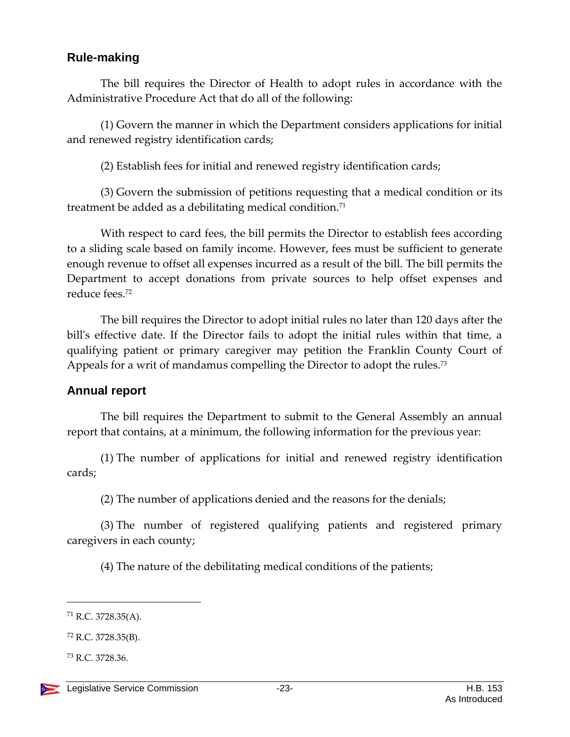## <span id="page-22-0"></span>**Rule-making**

The bill requires the Director of Health to adopt rules in accordance with the Administrative Procedure Act that do all of the following:

(1) Govern the manner in which the Department considers applications for initial and renewed registry identification cards;

(2) Establish fees for initial and renewed registry identification cards;

(3) Govern the submission of petitions requesting that a medical condition or its treatment be added as a debilitating medical condition.<sup>71</sup>

With respect to card fees, the bill permits the Director to establish fees according to a sliding scale based on family income. However, fees must be sufficient to generate enough revenue to offset all expenses incurred as a result of the bill. The bill permits the Department to accept donations from private sources to help offset expenses and reduce fees.<sup>72</sup>

The bill requires the Director to adopt initial rules no later than 120 days after the bill's effective date. If the Director fails to adopt the initial rules within that time, a qualifying patient or primary caregiver may petition the Franklin County Court of Appeals for a writ of mandamus compelling the Director to adopt the rules.<sup>73</sup>

## <span id="page-22-1"></span>**Annual report**

The bill requires the Department to submit to the General Assembly an annual report that contains, at a minimum, the following information for the previous year:

(1) The number of applications for initial and renewed registry identification cards;

(2) The number of applications denied and the reasons for the denials;

(3) The number of registered qualifying patients and registered primary caregivers in each county;

(4) The nature of the debilitating medical conditions of the patients;

 $71$  R.C. 3728.35(A).

<sup>72</sup> R.C. 3728.35(B).

<sup>73</sup> R.C. 3728.36.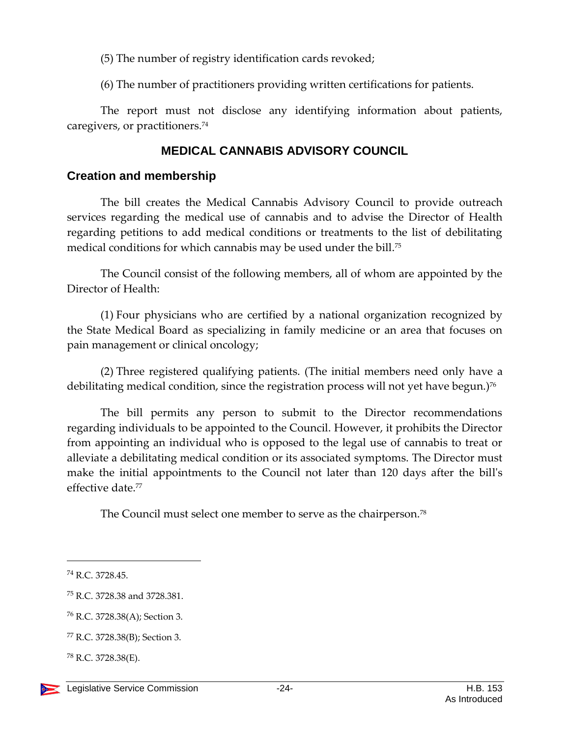(5) The number of registry identification cards revoked;

(6) The number of practitioners providing written certifications for patients.

The report must not disclose any identifying information about patients, caregivers, or practitioners.<sup>74</sup>

## **MEDICAL CANNABIS ADVISORY COUNCIL**

## <span id="page-23-1"></span><span id="page-23-0"></span>**Creation and membership**

The bill creates the Medical Cannabis Advisory Council to provide outreach services regarding the medical use of cannabis and to advise the Director of Health regarding petitions to add medical conditions or treatments to the list of debilitating medical conditions for which cannabis may be used under the bill. 75

The Council consist of the following members, all of whom are appointed by the Director of Health:

(1) Four physicians who are certified by a national organization recognized by the State Medical Board as specializing in family medicine or an area that focuses on pain management or clinical oncology;

(2) Three registered qualifying patients. (The initial members need only have a debilitating medical condition, since the registration process will not yet have begun.)<sup>76</sup>

The bill permits any person to submit to the Director recommendations regarding individuals to be appointed to the Council. However, it prohibits the Director from appointing an individual who is opposed to the legal use of cannabis to treat or alleviate a debilitating medical condition or its associated symptoms. The Director must make the initial appointments to the Council not later than 120 days after the bill's effective date.<sup>77</sup>

The Council must select one member to serve as the chairperson.<sup>78</sup>

<sup>74</sup> R.C. 3728.45.

<sup>75</sup> R.C. 3728.38 and 3728.381.

<sup>76</sup> R.C. 3728.38(A); Section 3.

<sup>77</sup> R.C. 3728.38(B); Section 3.

<sup>78</sup> R.C. 3728.38(E).